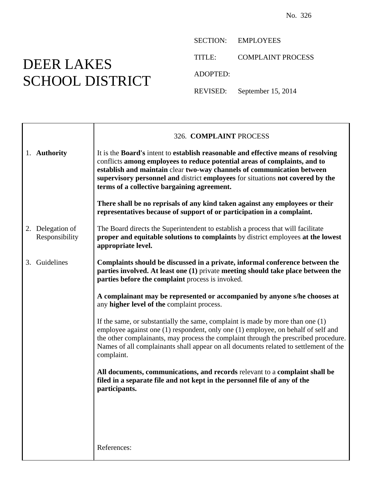## DEER LAKES SCHOOL DISTRICT

SECTION: EMPLOYEES

TITLE: COMPLAINT PROCESS

ADOPTED:

REVISED: September 15, 2014

|                                    | 326. COMPLAINT PROCESS                                                                                                                                                                                                                                                                                                                                                    |
|------------------------------------|---------------------------------------------------------------------------------------------------------------------------------------------------------------------------------------------------------------------------------------------------------------------------------------------------------------------------------------------------------------------------|
| 1. Authority                       | It is the Board's intent to establish reasonable and effective means of resolving<br>conflicts among employees to reduce potential areas of complaints, and to<br>establish and maintain clear two-way channels of communication between<br>supervisory personnel and district employees for situations not covered by the<br>terms of a collective bargaining agreement. |
|                                    | There shall be no reprisals of any kind taken against any employees or their<br>representatives because of support of or participation in a complaint.                                                                                                                                                                                                                    |
| 2. Delegation of<br>Responsibility | The Board directs the Superintendent to establish a process that will facilitate<br>proper and equitable solutions to complaints by district employees at the lowest<br>appropriate level.                                                                                                                                                                                |
| 3. Guidelines                      | Complaints should be discussed in a private, informal conference between the<br>parties involved. At least one (1) private meeting should take place between the<br>parties before the complaint process is invoked.                                                                                                                                                      |
|                                    | A complainant may be represented or accompanied by anyone s/he chooses at<br>any higher level of the complaint process.                                                                                                                                                                                                                                                   |
|                                    | If the same, or substantially the same, complaint is made by more than one $(1)$<br>employee against one (1) respondent, only one (1) employee, on behalf of self and<br>the other complainants, may process the complaint through the prescribed procedure.<br>Names of all complainants shall appear on all documents related to settlement of the<br>complaint.        |
|                                    | All documents, communications, and records relevant to a complaint shall be<br>filed in a separate file and not kept in the personnel file of any of the<br>participants.                                                                                                                                                                                                 |
|                                    |                                                                                                                                                                                                                                                                                                                                                                           |
|                                    | References:                                                                                                                                                                                                                                                                                                                                                               |
|                                    |                                                                                                                                                                                                                                                                                                                                                                           |